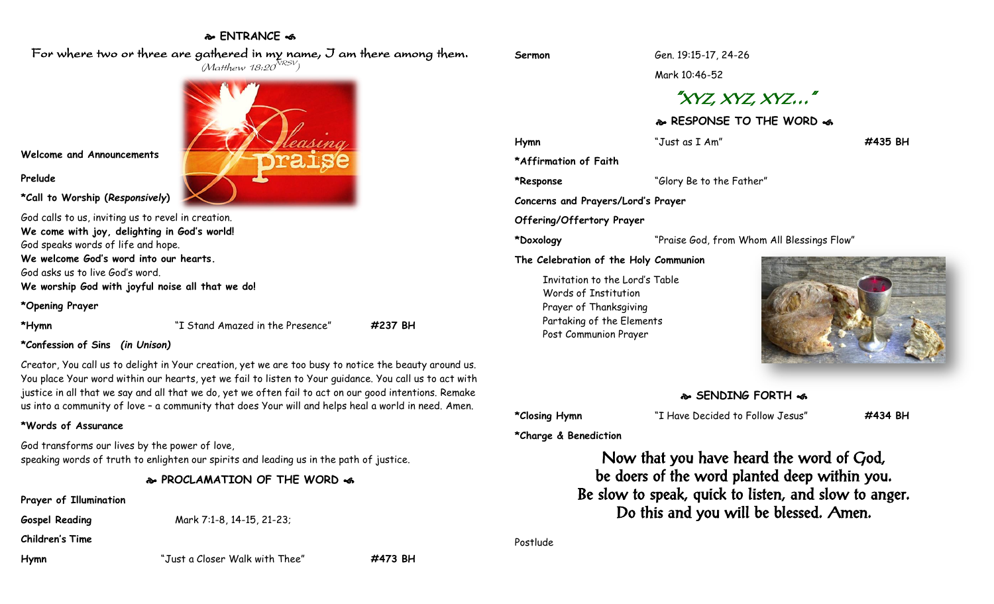## **ENTRANCE**

For where two or three are gathered in my name, I am there among them.  $(M$ atthew 18:20 $^{NRSV})$ 

**Welcome and Announcements**

#### **Prelude**

**\*Call to Worship (***Responsively***)** 

God calls to us, inviting us to revel in creation. **We come with joy, delighting in God's world!** God speaks words of life and hope. **We welcome God's word into our hearts.** God asks us to live God's word. **We worship God with joyful noise all that we do!**

**\*Opening Prayer**

**\*Hymn** "I Stand Amazed in the Presence" **#237 BH**

#### **\*Confession of Sins** *(in Unison)*

Creator, You call us to delight in Your creation, yet we are too busy to notice the beauty around us. You place Your word within our hearts, yet we fail to listen to Your guidance. You call us to act with justice in all that we say and all that we do, yet we often fail to act on our good intentions. Remake us into a community of love – a community that does Your will and helps heal a world in need. Amen.

#### **\*Words of Assurance**

God transforms our lives by the power of love, speaking words of truth to enlighten our spirits and leading us in the path of justice.

**PROCLAMATION OF THE WORD** 

**Prayer of Illumination**

**Gospel Reading** Mark 7:1-8, 14-15, 21-23;

**Children's Time**

**Hymn** "Just a Closer Walk with Thee" **#473 BH**

**Sermon** Gen. 19:15-17, 24-26

Mark 10:46-52

# "XYZ, XYZ, XYZ…"

### **RESPONSE TO THE WORD**

| Hymn                                  | "Just as I Am"                             | #435 BH |
|---------------------------------------|--------------------------------------------|---------|
| *Affirmation of Faith                 |                                            |         |
| *Response                             | "Glory Be to the Father"                   |         |
| Concerns and Prayers/Lord's Prayer    |                                            |         |
| Offering/Offertory Prayer             |                                            |         |
| *Doxology                             | "Praise God, from Whom All Blessings Flow" |         |
| The Celebration of the Holy Communion |                                            |         |

Invitation to the Lord's Table Words of Institution Prayer of Thanksgiving Partaking of the Elements Post Communion Prayer



#### **SENDING FORTH**

**\*Closing Hymn** "I Have Decided to Follow Jesus" **#434 BH**

**\*Charge & Benediction**

Now that you have heard the word of God, be doers of the word planted deep within you. Be slow to speak, quick to listen, and slow to anger. Do this and you will be blessed. Amen.

Postlude